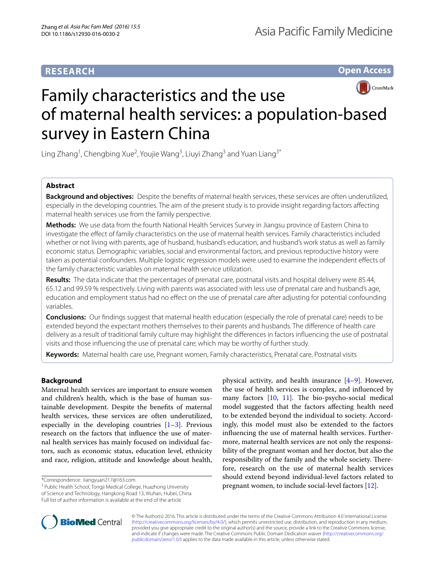# **RESEARCH**

**Open Access**



# Family characteristics and the use of maternal health services: a population-based survey in Eastern China

Ling Zhang<sup>1</sup>, Chengbing Xue<sup>2</sup>, Youjie Wang<sup>3</sup>, Liuyi Zhang<sup>3</sup> and Yuan Liang<sup>3\*</sup>

# **Abstract**

**Background and objectives:** Despite the benefits of maternal health services, these services are often underutilized, especially in the developing countries. The aim of the present study is to provide insight regarding factors affecting maternal health services use from the family perspective.

**Methods:** We use data from the fourth National Health Services Survey in Jiangsu province of Eastern China to investigate the effect of family characteristics on the use of maternal health services. Family characteristics included whether or not living with parents, age of husband, husband's education, and husband's work status as well as family economic status. Demographic variables, social and environmental factors, and previous reproductive history were taken as potential confounders. Multiple logistic regression models were used to examine the independent effects of the family characteristic variables on maternal health service utilization.

**Results:** The data indicate that the percentages of prenatal care, postnatal visits and hospital delivery were 85.44, 65.12 and 99.59 % respectively. Living with parents was associated with less use of prenatal care and husband's age, education and employment status had no effect on the use of prenatal care after adjusting for potential confounding variables.

**Conclusions:** Our findings suggest that maternal health education (especially the role of prenatal care) needs to be extended beyond the expectant mothers themselves to their parents and husbands. The difference of health care delivery as a result of traditional family culture may highlight the differences in factors influencing the use of postnatal visits and those influencing the use of prenatal care; which may be worthy of further study.

**Keywords:** Maternal health care use, Pregnant women, Family characteristics, Prenatal care, Postnatal visits

# **Background**

Maternal health services are important to ensure women and children's health, which is the base of human sustainable development. Despite the benefits of maternal health services, these services are often underutilized, especially in the developing countries  $[1-3]$  $[1-3]$ . Previous research on the factors that influence the use of maternal health services has mainly focused on individual factors, such as economic status, education level, ethnicity and race, religion, attitude and knowledge about health,

\*Correspondence: liangyuan217@163.com

<sup>3</sup> Public Health School, Tongji Medical College, Huazhong University of Science and Technology, Hangkong Road 13, Wuhan, Hubei, China Full list of author information is available at the end of the article

physical activity, and health insurance  $[4-9]$  $[4-9]$  $[4-9]$ . However, the use of health services is complex, and influenced by many factors [\[10](#page-6-4), [11\]](#page-6-5). The bio-psycho-social medical model suggested that the factors affecting health need to be extended beyond the individual to society. Accordingly, this model must also be extended to the factors influencing the use of maternal health services. Furthermore, maternal health services are not only the responsibility of the pregnant woman and her doctor, but also the responsibility of the family and the whole society. Therefore, research on the use of maternal health services should extend beyond individual-level factors related to pregnant women, to include social-level factors [[12\]](#page-6-6).



© The Author(s) 2016. This article is distributed under the terms of the Creative Commons Attribution 4.0 International License [\(http://creativecommons.org/licenses/by/4.0/\)](http://creativecommons.org/licenses/by/4.0/), which permits unrestricted use, distribution, and reproduction in any medium, provided you give appropriate credit to the original author(s) and the source, provide a link to the Creative Commons license, and indicate if changes were made. The Creative Commons Public Domain Dedication waiver ([http://creativecommons.org/](http://creativecommons.org/publicdomain/zero/1.0/) [publicdomain/zero/1.0/](http://creativecommons.org/publicdomain/zero/1.0/)) applies to the data made available in this article, unless otherwise stated.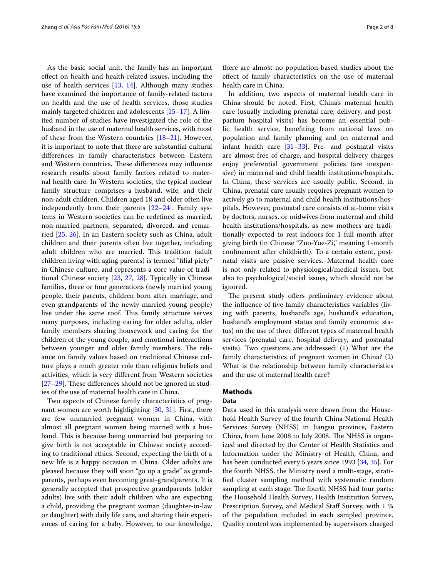As the basic social unit, the family has an important effect on health and health-related issues, including the use of health services  $[13, 14]$  $[13, 14]$  $[13, 14]$ . Although many studies have examined the importance of family-related factors on health and the use of health services, those studies mainly targeted children and adolescents [\[15](#page-6-9)[–17](#page-6-10)]. A limited number of studies have investigated the role of the husband in the use of maternal health services, with most of these from the Western countries [\[18](#page-6-11)[–21\]](#page-6-12). However, it is important to note that there are substantial cultural differences in family characteristics between Eastern and Western countries. These differences may influence research results about family factors related to maternal health care. In Western societies, the typical nuclear family structure comprises a husband, wife, and their non-adult children. Children aged 18 and older often live independently from their parents [[22–](#page-6-13)[24\]](#page-6-14). Family systems in Western societies can be redefined as married, non-married partners, separated, divorced, and remarried [[25](#page-6-15), [26\]](#page-6-16). In an Eastern society such as China, adult children and their parents often live together, including adult children who are married. This tradition (adult children living with aging parents) is termed "filial piety" in Chinese culture, and represents a core value of traditional Chinese society [[23](#page-6-17), [27,](#page-7-0) [28\]](#page-7-1). Typically in Chinese families, three or four generations (newly married young people, their parents, children born after marriage, and even grandparents of the newly married young people) live under the same roof. This family structure serves many purposes, including caring for older adults, older family members sharing housework and caring for the children of the young couple, and emotional interactions between younger and older family members. The reliance on family values based on traditional Chinese culture plays a much greater role than religious beliefs and activities, which is very different from Western societies [[27–](#page-7-0)[29](#page-7-2)]. These differences should not be ignored in studies of the use of maternal health care in China.

Two aspects of Chinese family characteristics of pregnant women are worth highlighting [\[30](#page-7-3), [31\]](#page-7-4). First, there are few unmarried pregnant women in China, with almost all pregnant women being married with a husband. This is because being unmarried but preparing to give birth is not acceptable in Chinese society according to traditional ethics. Second, expecting the birth of a new life is a happy occasion in China. Older adults are pleased because they will soon "go up a grade" as grandparents, perhaps even becoming great-grandparents. It is generally accepted that prospective grandparents (older adults) live with their adult children who are expecting a child, providing the pregnant woman (daughter-in-law or daughter) with daily life care, and sharing their experiences of caring for a baby. However, to our knowledge,

there are almost no population-based studies about the effect of family characteristics on the use of maternal health care in China.

In addition, two aspects of maternal health care in China should be noted. First, China's maternal health care (usually including prenatal care, delivery, and postpartum hospital visits) has become an essential public health service, benefiting from national laws on population and family planning and on maternal and infant health care  $[31-33]$  $[31-33]$  $[31-33]$ . Pre- and postnatal visits are almost free of charge, and hospital delivery charges enjoy preferential government policies (are inexpensive) in maternal and child health institutions/hospitals. In China, these services are usually public. Second, in China, prenatal care usually requires pregnant women to actively go to maternal and child health institutions/hospitals. However, postnatal care consists of at-home visits by doctors, nurses, or midwives from maternal and child health institutions/hospitals, as new mothers are traditionally expected to rest indoors for 1 full month after giving birth (in Chinese "Zuo-Yue-Zi," meaning 1-month confinement after childbirth). To a certain extent, postnatal visits are passive services. Maternal health care is not only related to physiological/medical issues, but also to psychological/social issues, which should not be ignored.

The present study offers preliminary evidence about the influence of five family characteristics variables (living with parents, husband's age, husband's education, husband's employment status and family economic status) on the use of three different types of maternal health services (prenatal care, hospital delivery, and postnatal visits). Two questions are addressed: (1) What are the family characteristics of pregnant women in China? (2) What is the relationship between family characteristics and the use of maternal health care?

# **Methods**

## **Data**

Data used in this analysis were drawn from the Household Health Survey of the fourth China National Health Services Survey (NHSS) in Jiangsu province, Eastern China, from June 2008 to July 2008. The NHSS is organized and directed by the Center of Health Statistics and Information under the Ministry of Health, China, and has been conducted every 5 years since 1993 [[34](#page-7-6), [35\]](#page-7-7). For the fourth NHSS, the Ministry used a multi-stage, stratified cluster sampling method with systematic random sampling at each stage. The fourth NHSS had four parts: the Household Health Survey, Health Institution Survey, Prescription Survey, and Medical Staff Survey, with 1 % of the population included in each sampled province. Quality control was implemented by supervisors charged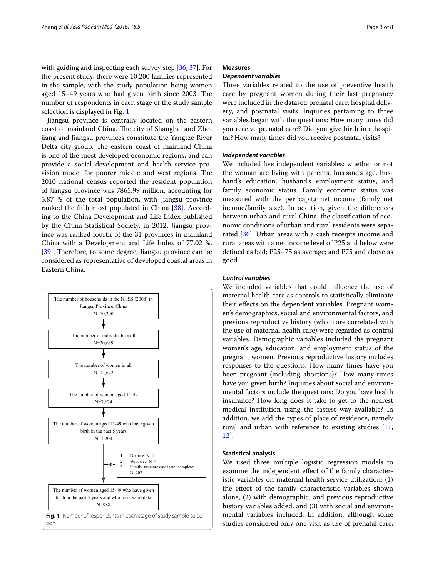with guiding and inspecting each survey step [[36,](#page-7-8) [37](#page-7-9)]. For the present study, there were 10,200 families represented in the sample, with the study population being women aged 15–49 years who had given birth since 2003. The number of respondents in each stage of the study sample selection is displayed in Fig. [1](#page-2-0).

Jiangsu province is centrally located on the eastern coast of mainland China. The city of Shanghai and Zhejiang and Jiangsu provinces constitute the Yangtze River Delta city group. The eastern coast of mainland China is one of the most developed economic regions, and can provide a social development and health service provision model for poorer middle and west regions. The 2010 national census reported the resident population of Jiangsu province was 7865.99 million, accounting for 5.87 % of the total population, with Jiangsu province ranked the fifth most populated in China [\[38](#page-7-10)]. According to the China Development and Life Index published by the China Statistical Society, in 2012, Jiangsu province was ranked fourth of the 31 provinces in mainland China with a Development and Life Index of 77.02 %. [[39\]](#page-7-11). Therefore, to some degree, Jiangsu province can be considered as representative of developed coastal areas in Eastern China.



## **Measures**

## *Dependent variables*

Three variables related to the use of preventive health care by pregnant women during their last pregnancy were included in the dataset: prenatal care, hospital delivery, and postnatal visits. Inquiries pertaining to three variables began with the questions: How many times did you receive prenatal care? Did you give birth in a hospital? How many times did you receive postnatal visits?

#### *Independent variables*

We included five independent variables: whether or not the woman are living with parents, husband's age, husband's education, husband's employment status, and family economic status. Family economic status was measured with the per capita net income (family net income/family size). In addition, given the differences between urban and rural China, the classification of economic conditions of urban and rural residents were sepa-rated [\[36](#page-7-8)]. Urban areas with a cash receipts income and rural areas with a net income level of P25 and below were defined as bad; P25–75 as average; and P75 and above as good.

## *Control variables*

We included variables that could influence the use of maternal health care as controls to statistically eliminate their effects on the dependent variables. Pregnant women's demographics, social and environmental factors, and previous reproductive history (which are correlated with the use of maternal health care) were regarded as control variables. Demographic variables included the pregnant women's age, education, and employment status of the pregnant women. Previous reproductive history includes responses to the questions: How many times have you been pregnant (including abortions)? How many times have you given birth? Inquiries about social and environmental factors include the questions: Do you have health insurance? How long does it take to get to the nearest medical institution using the fastest way available? In addition, we add the types of place of residence, namely rural and urban with reference to existing studies [[11](#page-6-5), [12\]](#page-6-6).

#### **Statistical analysis**

<span id="page-2-0"></span>We used three multiple logistic regression models to examine the independent effect of the family characteristic variables on maternal health service utilization: (1) the effect of the family characteristic variables shown alone, (2) with demographic, and previous reproductive history variables added, and (3) with social and environmental variables included. In addition, although some studies considered only one visit as use of prenatal care,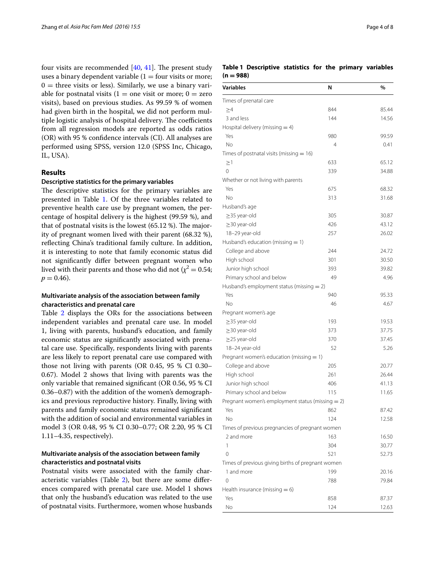four visits are recommended [[40](#page-7-12), [41\]](#page-7-13). The present study uses a binary dependent variable  $(1 = four \, visits \, or \, more;$  $0 =$  three visits or less). Similarly, we use a binary variable for postnatal visits  $(1 =$  one visit or more;  $0 =$  zero visits), based on previous studies. As 99.59 % of women had given birth in the hospital, we did not perform multiple logistic analysis of hospital delivery. The coefficients from all regression models are reported as odds ratios (OR) with 95 % confidence intervals (CI). All analyses are performed using SPSS, version 12.0 (SPSS Inc, Chicago, IL, USA).

### **Results**

## **Descriptive statistics for the primary variables**

The descriptive statistics for the primary variables are presented in Table [1](#page-3-0). Of the three variables related to preventive health care use by pregnant women, the percentage of hospital delivery is the highest (99.59 %), and that of postnatal visits is the lowest (65.12 %). The majority of pregnant women lived with their parent (68.32 %), reflecting China's traditional family culture. In addition, it is interesting to note that family economic status did not significantly differ between pregnant women who lived with their parents and those who did not  $(\chi^2 = 0.54)$ ;  $p = 0.46$ .

## **Multivariate analysis of the association between family characteristics and prenatal care**

Table [2](#page-5-0) displays the ORs for the associations between independent variables and prenatal care use. In model 1, living with parents, husband's education, and family economic status are significantly associated with prenatal care use. Specifically, respondents living with parents are less likely to report prenatal care use compared with those not living with parents (OR 0.45, 95 % CI 0.30– 0.67). Model 2 shows that living with parents was the only variable that remained significant (OR 0.56, 95 % CI 0.36–0.87) with the addition of the women's demographics and previous reproductive history. Finally, living with parents and family economic status remained significant with the addition of social and environmental variables in model 3 (OR 0.48, 95 % CI 0.30–0.77; OR 2.20, 95 % CI 1.11–4.35, respectively).

## **Multivariate analysis of the association between family characteristics and postnatal visits**

Postnatal visits were associated with the family characteristic variables (Table [2\)](#page-5-0), but there are some differences compared with prenatal care use. Model 1 shows that only the husband's education was related to the use of postnatal visits. Furthermore, women whose husbands

## <span id="page-3-0"></span>**Table 1 Descriptive statistics for the primary variables**   $(n = 988)$

| Variables                                         | N              | $\%$  |
|---------------------------------------------------|----------------|-------|
| Times of prenatal care                            |                |       |
| >4                                                | 844            | 85.44 |
| 3 and less                                        | 144            | 14.56 |
| Hospital delivery (missing $=$ 4)                 |                |       |
| Yes                                               | 980            | 99.59 |
| No.                                               | $\overline{4}$ | 0.41  |
| Times of postnatal visits (missing $= 16$ )       |                |       |
| $\geq$ 1                                          | 633            | 65.12 |
| 0                                                 | 339            | 34.88 |
| Whether or not living with parents                |                |       |
| Yes                                               | 675            | 68.32 |
| No.                                               | 313            | 31.68 |
| Husband's age                                     |                |       |
| $\geq$ 35 year-old                                | 305            | 30.87 |
| $\geq$ 30 year-old                                | 426            | 43.12 |
| 18-29 year-old                                    | 257            | 26.02 |
| Husband's education (missing $= 1$ )              |                |       |
| College and above                                 | 244            | 24.72 |
| High school                                       | 301            | 30.50 |
| Junior high school                                | 393            | 39.82 |
| Primary school and below                          | 49             | 4.96  |
| Husband's employment status (missing $= 2$ )      |                |       |
| Yes                                               | 940            | 95.33 |
| No                                                | 46             | 4.67  |
| Pregnant women's age                              |                |       |
| $\geq$ 35 year-old                                | 193            | 19.53 |
| $\geq$ 30 year-old                                | 373            | 37.75 |
| $\geq$ 25 year-old                                | 370            | 37.45 |
| 18-24 year-old                                    | 52             | 5.26  |
| Pregnant women's education (missing $= 1$ )       |                |       |
| College and above                                 | 205            | 20.77 |
| High school                                       | 261            | 26.44 |
| Junior high school                                | 406            | 41.13 |
| Primary school and below                          | 115            | 11.65 |
| Pregnant women's employment status (missing = 2)  |                |       |
| Yes                                               | 862            | 87.42 |
| No                                                | 124            | 12.58 |
| Times of previous pregnancies of pregnant women   |                |       |
| 2 and more                                        | 163            | 16.50 |
| 1                                                 | 304            | 30.77 |
| 0                                                 | 521            | 52.73 |
| Times of previous giving births of pregnant women |                |       |
| 1 and more                                        | 199            | 20.16 |
| 0                                                 | 788            | 79.84 |
| Health insurance (missing $= 6$ )                 |                |       |
| Yes                                               | 858            | 87.37 |
| No                                                | 124            | 12.63 |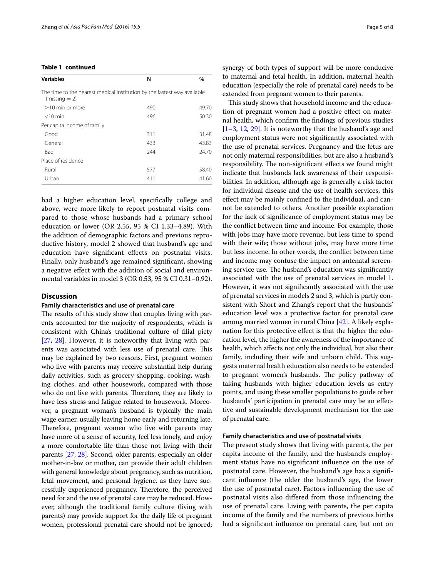| <b>Variables</b>                                                                            | N   | $\frac{0}{0}$ |
|---------------------------------------------------------------------------------------------|-----|---------------|
| The time to the nearest medical institution by the fastest way available<br>$(missing = 2)$ |     |               |
| $>10$ min or more                                                                           | 490 | 49.70         |
| $<$ 10 min                                                                                  | 496 | 50.30         |
| Per capita income of family                                                                 |     |               |
| Good                                                                                        | 311 | 31.48         |
| General                                                                                     | 433 | 43.83         |
| <b>Bad</b>                                                                                  | 244 | 24.70         |
| Place of residence                                                                          |     |               |
| Rural                                                                                       | 577 | 58.40         |
| Urban                                                                                       | 411 | 41.60         |

had a higher education level, specifically college and above, were more likely to report postnatal visits compared to those whose husbands had a primary school education or lower (OR 2.55, 95 % CI 1.33–4.89). With the addition of demographic factors and previous reproductive history, model 2 showed that husband's age and education have significant effects on postnatal visits. Finally, only husband's age remained significant, showing a negative effect with the addition of social and environmental variables in model 3 (OR 0.53, 95 % CI 0.31–0.92).

#### **Discussion**

#### **Family characteristics and use of prenatal care**

The results of this study show that couples living with parents accounted for the majority of respondents, which is consistent with China's traditional culture of filial piety [[27](#page-7-0), [28](#page-7-1)]. However, it is noteworthy that living with parents was associated with less use of prenatal care. This may be explained by two reasons. First, pregnant women who live with parents may receive substantial help during daily activities, such as grocery shopping, cooking, washing clothes, and other housework, compared with those who do not live with parents. Therefore, they are likely to have less stress and fatigue related to housework. Moreover, a pregnant woman's husband is typically the main wage earner, usually leaving home early and returning late. Therefore, pregnant women who live with parents may have more of a sense of security, feel less lonely, and enjoy a more comfortable life than those not living with their parents [\[27,](#page-7-0) [28](#page-7-1)]. Second, older parents, especially an older mother-in-law or mother, can provide their adult children with general knowledge about pregnancy, such as nutrition, fetal movement, and personal hygiene, as they have successfully experienced pregnancy. Therefore, the perceived need for and the use of prenatal care may be reduced. However, although the traditional family culture (living with parents) may provide support for the daily life of pregnant women, professional prenatal care should not be ignored; synergy of both types of support will be more conducive to maternal and fetal health. In addition, maternal health education (especially the role of prenatal care) needs to be extended from pregnant women to their parents.

This study shows that household income and the education of pregnant women had a positive effect on maternal health, which confirm the findings of previous studies  $[1-3, 12, 29]$  $[1-3, 12, 29]$  $[1-3, 12, 29]$  $[1-3, 12, 29]$  $[1-3, 12, 29]$  $[1-3, 12, 29]$  $[1-3, 12, 29]$ . It is noteworthy that the husband's age and employment status were not significantly associated with the use of prenatal services. Pregnancy and the fetus are not only maternal responsibilities, but are also a husband's responsibility. The non-significant effects we found might indicate that husbands lack awareness of their responsibilities. In addition, although age is generally a risk factor for individual disease and the use of health services, this effect may be mainly confined to the individual, and cannot be extended to others. Another possible explanation for the lack of significance of employment status may be the conflict between time and income. For example, those with jobs may have more revenue, but less time to spend with their wife; those without jobs, may have more time but less income. In other words, the conflict between time and income may confuse the impact on antenatal screening service use. The husband's education was significantly associated with the use of prenatal services in model 1. However, it was not significantly associated with the use of prenatal services in models 2 and 3, which is partly consistent with Short and Zhang's report that the husbands' education level was a protective factor for prenatal care among married women in rural China [[42\]](#page-7-14). A likely explanation for this protective effect is that the higher the education level, the higher the awareness of the importance of health, which affects not only the individual, but also their family, including their wife and unborn child. This suggests maternal health education also needs to be extended to pregnant women's husbands. The policy pathway of taking husbands with higher education levels as entry points, and using these smaller populations to guide other husbands' participation in prenatal care may be an effective and sustainable development mechanism for the use of prenatal care.

#### **Family characteristics and use of postnatal visits**

The present study shows that living with parents, the per capita income of the family, and the husband's employment status have no significant influence on the use of postnatal care. However, the husband's age has a significant influence (the older the husband's age, the lower the use of postnatal care). Factors influencing the use of postnatal visits also differed from those influencing the use of prenatal care. Living with parents, the per capita income of the family and the numbers of previous births had a significant influence on prenatal care, but not on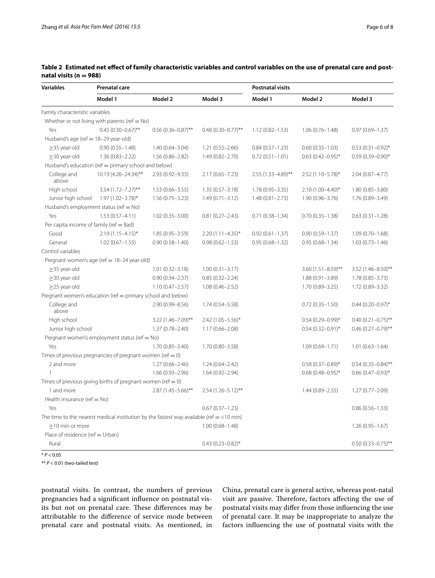| <b>Variables</b>                                                                           | <b>Prenatal care</b>                                         |                        |                        | <b>Postnatal visits</b> |                         |                         |
|--------------------------------------------------------------------------------------------|--------------------------------------------------------------|------------------------|------------------------|-------------------------|-------------------------|-------------------------|
|                                                                                            | Model 1                                                      | Model 2                | Model 3                | Model 1                 | Model 2                 | Model 3                 |
| Family characteristic variables                                                            |                                                              |                        |                        |                         |                         |                         |
|                                                                                            | Whether or not living with parents (ref $=$ No)              |                        |                        |                         |                         |                         |
| Yes                                                                                        | $0.45(0.30 - 0.67)$ **                                       | $0.56$ (0.36-0.87)**   | $0.48(0.30 - 0.77)$ ** | $1.12(0.82 - 1.53)$     | $1.06(0.76 - 1.48)$     | $0.97(0.69 - 1.37)$     |
| Husband's age (ref $= 18-29$ year-old)                                                     |                                                              |                        |                        |                         |                         |                         |
| $\geq$ 35 year-old                                                                         | $0.90(0.55 - 1.48)$                                          | $1.40(0.64 - 3.04)$    | $1.21(0.55 - 2.66)$    | $0.84(0.57 - 1.23)$     | $0.60(0.35 - 1.03)$     | $0.53(0.31 - 0.92)^{*}$ |
| $\geq$ 30 year-old                                                                         | $1.36(0.83 - 2.22)$                                          | $1.56(0.86 - 2.82)$    | 1.49 (0.82-2.70)       | $0.72(0.51 - 1.01)$     | $0.63(0.42 - 0.95)^*$   | $0.59(0.39 - 0.90)$ *   |
|                                                                                            | Husband's education (ref = primary school and below)         |                        |                        |                         |                         |                         |
| College and<br>above                                                                       | 10.19 (4.26-24.34)**                                         | $2.93(0.92 - 9.33)$    | $2.17(0.65 - 7.23)$    | 2.55 (1.33-4.89)**      | $2.52(1.10-5.78)$ *     | $2.04(0.87 - 4.77)$     |
| High school                                                                                | $3.54$ (1.72-7.27)**                                         | $1.53(0.66 - 3.55)$    | $1.35(0.57 - 3.18)$    | $1.78(0.95 - 3.35)$     | 2.10 (1.00-4.40)*       | $1.80(0.85 - 3.80)$     |
| Junior high school                                                                         | 1.97 (1.02-3.78)*                                            | $1.56(0.75 - 3.23)$    | $1.49(0.71 - 3.12)$    | $1.48(0.81 - 2.73)$     | $1.90(0.96 - 3.76)$     | 1.76 (0.89-3.49)        |
| Husband's employment status (ref $=$ No)                                                   |                                                              |                        |                        |                         |                         |                         |
| Yes                                                                                        | $1.53(0.57 - 4.11)$                                          | $1.02(0.35 - 3.00)$    | $0.81(0.27 - 2.43)$    | $0.71(0.38 - 1.34)$     | $0.70(0.35 - 1.38)$     | $0.63(0.31 - 1.28)$     |
| Per capita income of family (ref $=$ Bad)                                                  |                                                              |                        |                        |                         |                         |                         |
| Good                                                                                       | $2.19(1.15 - 4.15)^*$                                        | $1.85(0.95 - 3.59)$    | $2.20(1.11 - 4.35)^*$  | $0.92(0.61 - 1.37)$     | $0.90(0.59 - 1.37)$     | $1.09(0.70 - 1.68)$     |
| General                                                                                    | $1.02(0.67 - 1.55)$                                          | $0.90(0.58 - 1.40)$    | $0.98(0.62 - 1.53)$    | $0.95(0.68 - 1.32)$     | $0.95(0.68 - 1.34)$     | $1.03(0.73 - 1.46)$     |
| Control variables                                                                          |                                                              |                        |                        |                         |                         |                         |
|                                                                                            | Pregnant women's age (ref $= 18-24$ year-old)                |                        |                        |                         |                         |                         |
| $\geq$ 35 year-old                                                                         |                                                              | $1.01(0.32 - 3.18)$    | $1.00(0.31 - 3.17)$    |                         | $3.60(1.51 - 8.59)$ **  | 3.52 (1.46-8.50)**      |
| $\geq$ 30 year-old                                                                         |                                                              | $0.90(0.34 - 2.37)$    | $0.85(0.32 - 2.24)$    |                         | $1.88(0.91 - 3.89)$     | $1.78(0.85 - 3.73)$     |
| $\geq$ 25 year-old                                                                         |                                                              | $1.10(0.47 - 2.57)$    | $1.08(0.46 - 2.52)$    |                         | 1.70 (0.89-3.25)        | 1.72 (0.89-3.32)        |
| Pregnant women's education (ref = primary school and below)                                |                                                              |                        |                        |                         |                         |                         |
| College and<br>above                                                                       |                                                              | 2.90 (0.99-8.56)       | $1.74(0.54 - 5.58)$    |                         | $0.72(0.35 - 1.50)$     | $0.44(0.20 - 0.97)^*$   |
| High school                                                                                |                                                              | $3.22$ (1.46-7.09)**   | $2.42(1.05 - 5.56)^*$  |                         | $0.54(0.29 - 0.99)$ *   | $0.40(0.21 - 0.75)$ **  |
| Junior high school                                                                         |                                                              | $1.37(0.78 - 2.40)$    | $1.17(0.66 - 2.08)$    |                         | $0.54(0.32 - 0.91)^{*}$ | $0.46(0.27 - 0.79)$ **  |
|                                                                                            | Pregnant women's employment status (ref $=$ No)              |                        |                        |                         |                         |                         |
| Yes                                                                                        |                                                              | $1.70(0.85 - 3.40)$    | $1.70(0.80 - 3.58)$    |                         | $1.09(0.69 - 1.71)$     | $1.01(0.63 - 1.64)$     |
|                                                                                            | Times of previous pregnancies of pregnant women (ref $= 0$ ) |                        |                        |                         |                         |                         |
| 2 and more                                                                                 |                                                              | $1.27(0.66 - 2.46)$    | $1.24(0.64 - 2.42)$    |                         | $0.58(0.37 - 0.89)^*$   | $0.54(0.35 - 0.84)$ **  |
| $\mathbf{1}$                                                                               |                                                              | $1.66(0.93 - 2.96)$    | $1.64(0.92 - 2.94)$    |                         | $0.68(0.48 - 0.95)^*$   | $0.66$ (0.47-0.93)*     |
| Times of previous giving births of pregnant women (ref $= 0$ )                             |                                                              |                        |                        |                         |                         |                         |
| 1 and more                                                                                 |                                                              | $2.87(1.45 - 5.66)$ ** | $2.54(1.26 - 5.12)$ ** |                         | $1.44(0.89 - 2.35)$     | $1.27(0.77 - 2.09)$     |
| Health insurance ( $ref = No$ )                                                            |                                                              |                        |                        |                         |                         |                         |
| Yes                                                                                        |                                                              |                        | $0.67(0.37 - 1.23)$    |                         |                         | $0.86(0.56 - 1.33)$     |
| The time to the nearest medical institution by the fastest way available (ref $=$ <10 min) |                                                              |                        |                        |                         |                         |                         |
| $\geq$ 10 min or more                                                                      |                                                              |                        | $1.00(0.68 - 1.48)$    |                         |                         | $1.26(0.95 - 1.67)$     |
| Place of residence (ref = Urban)                                                           |                                                              |                        |                        |                         |                         |                         |
| Rural                                                                                      |                                                              |                        | $0.43(0.23 - 0.82)^*$  |                         |                         | $0.50(0.33 - 0.75)$ **  |

## <span id="page-5-0"></span>**Table 2 Estimated net effect of family characteristic variables and control variables on the use of prenatal care and postnatal visits (n = 988)**

\* *P* < 0.05

\*\* *P* < 0.01 (two-tailed test)

postnatal visits. In contrast, the numbers of previous pregnancies had a significant influence on postnatal visits but not on prenatal care. These differences may be attributable to the difference of service mode between prenatal care and postnatal visits. As mentioned, in

China, prenatal care is general active, whereas post-natal visit are passive. Therefore, factors affecting the use of postnatal visits may differ from those influencing the use of prenatal care. It may be inappropriate to analyze the factors influencing the use of postnatal visits with the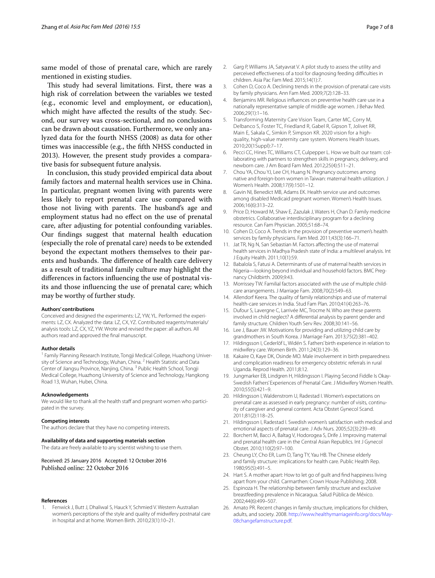same model of those of prenatal care, which are rarely mentioned in existing studies.

This study had several limitations. First, there was a high risk of correlation between the variables we tested (e.g., economic level and employment, or education), which might have affected the results of the study. Second, our survey was cross-sectional, and no conclusions can be drawn about causation. Furthermore, we only analyzed data for the fourth NHSS (2008) as data for other times was inaccessible (e.g., the fifth NHSS conducted in 2013). However, the present study provides a comparative basis for subsequent future analysis.

In conclusion, this study provided empirical data about family factors and maternal health services use in China. In particular, pregnant women living with parents were less likely to report prenatal care use compared with those not living with parents. The husband's age and employment status had no effect on the use of prenatal care, after adjusting for potential confounding variables. Our findings suggest that maternal health education (especially the role of prenatal care) needs to be extended beyond the expectant mothers themselves to their parents and husbands. The difference of health care delivery as a result of traditional family culture may highlight the differences in factors influencing the use of postnatal visits and those influencing the use of prenatal care; which may be worthy of further study.

#### **Authors' contributions**

Conceived and designed the experiments: LZ, YW, YL. Performed the experiments: LZ, CX. Analyzed the data: LZ, CX, YZ. Contributed reagents/materials/ analysis tools: LZ, CX, YZ, YW. Wrote and revised the paper: all authors. All authors read and approved the final manuscript.

#### **Author details**

<sup>1</sup> Family Planning Research Institute, Tongji Medical College, Huazhong University of Science and Technology, Wuhan, China. <sup>2</sup> Health Statistic and Data Center of Jiangsu Province, Nanjing, China. 3 Public Health School, Tongji Medical College, Huazhong University of Science and Technology, Hangkong Road 13, Wuhan, Hubei, China.

#### **Acknowledgements**

We would like to thank all the health staff and pregnant women who participated in the survey.

#### **Competing interests**

The authors declare that they have no competing interests.

#### **Availability of data and supporting materials section**

The data are freely available to any scientist wishing to use them.

Received: 25 January 2016 Accepted: 12 October 2016 Published online: 22 October 2016

#### **References**

<span id="page-6-0"></span>1. Fenwick J, Butt J, Dhaliwal S, Hauck Y, Schmied V. Western Australian women's perceptions of the style and quality of midwifery postnatal care in hospital and at home. Women Birth. 2010;23(1):10–21.

- 2. Garg P, Williams JA, Satyavrat V. A pilot study to assess the utility and perceived effectiveness of a tool for diagnosing feeding difficulties in children. Asia Pac Fam Med. 2015;14(1):7.
- <span id="page-6-1"></span>3. Cohen D, Coco A. Declining trends in the provision of prenatal care visits by family physicians. Ann Fam Med. 2009;7(2):128–33.
- <span id="page-6-2"></span>4. Benjamins MR. Religious influences on preventive health care use in a nationally representative sample of middle-age women. J Behav Med. 2006;29(1):1–16.
- 5. Transforming Maternity Care Vision Team, Carter MC, Corry M, Delbanco S, Foster TC, Friedland R, Gabel R, Gipson T, Jolivet RR, Main E, Sakala C, Simkin P, Simpson KR. 2020 vision for a highquality, high-value maternity care system. Womens Health Issues. 2010;20(1Suppl):7–17.
- 6. Pecci CC, Hines TC, Williams CT, Culpepper L. How we built our team: collaborating with partners to strengthen skills in pregnancy, delivery, and newborn care. J Am Board Fam Med. 2012;25(4):511–21.
- 7. Chou YA, Chou YJ, Lee CH, Huang N. Pregnancy outcomes among native and foreign-born women in Taiwan: maternal health utilization. J Women's Health. 2008;17(9):1501–12.
- 8. Gavin NI, Benedict MB, Adams EK. Health service use and outcomes among disabled Medicaid pregnant women. Women's Health Issues. 2006;16(6):313–22.
- <span id="page-6-3"></span>Price D, Howard M, Shaw E, Zazulak J, Waters H, Chan D. Family medicine obstetrics. Collaborative interdisciplinary program for a declining resource. Can Fam Physician. 2005;51:68–74.
- <span id="page-6-4"></span>10. Cohen D, Coco A. Trends in the provision of preventive women's health services by family physicians. Fam Med. 2011;43(3):166–71.
- <span id="page-6-5"></span>11. Jat TR, Ng N, San Sebastian M. Factors affecting the use of maternal health services in Madhya Pradesh state of India: a multilevel analysis. Int J Equity Health. 2011;10(1):59.
- <span id="page-6-6"></span>12. Babalola S, Fatusi A. Determinants of use of maternal health services in Nigeria—looking beyond individual and household factors. BMC Pregnancy Childbirth. 2009;9:43.
- <span id="page-6-7"></span>13. Morrissey TW. Familial factors associated with the use of multiple childcare arrangements. J Marriage Fam. 2008;70(2):549–63.
- <span id="page-6-8"></span>14. Allendorf Keera. The quality of family relationships and use of maternal health-care services in India. Stud Fam Plan. 2010;41(4):263–76.
- <span id="page-6-9"></span>15. Dufour S, Lavergne C, Larrivée MC, Trocme N. Who are these parents involved in child neglect? A differential analysis by parent gender and family structure. Children Youth Serv Rev. 2008;30:141–56.
- 16. Lee J, Bauer JW. Motivations for providing and utilizing child care by grandmothers in South Korea. J Marriage Fam. 2013;75(2):381–402.
- <span id="page-6-10"></span>17. Hildingsson I, Cederlöf L, Widén S. Fathers' birth experience in relation to midwifery care. Women Birth. 2011;24(3):129–36.
- <span id="page-6-11"></span>18. Kakaire O, Kaye DK, Osinde MO. Male involvement in birth preparedness and complication readiness for emergency obstetric referrals in rural Uganda. Reprod Health. 2011;8:12.
- 19. Jungmarker EB, Lindgren H, Hildingsson I. Playing Second Fiddle Is Okay-Swedish Fathers' Experiences of Prenatal Care. J Midwifery Women Health. 2010;55(5):421–9.
- 20. Hildingsson I, Waldenstrom U, Radestad I. Women's expectations on prenatal care as assessed in early pregnancy: number of visits, continuity of caregiver and general content. Acta Obstet Gynecol Scand. 2011;81(2):118–25.
- <span id="page-6-12"></span>21. Hildingsson I, Radestad I. Swedish women's satisfaction with medical and emotional aspects of prenatal care. J Adv Nurs. 2005;52(3):239–49.
- <span id="page-6-13"></span>22. Borchert M, Bacci A, Baltag V, Hodorogea S, Drife J. Improving maternal and prenatal health care in the Central Asian Republics. Int J Gynecol Obstet. 2010;110(2):97–100.
- <span id="page-6-17"></span>23. Cheung LY, Cho ER, Lum D, Tang TY, Yau HB. The Chinese elderly and family structure: implications for health care. Public Health Rep. 1980;95(5):491–5.
- <span id="page-6-14"></span>24. Hart S. A mother apart: How to let go of guilt and find happiness living apart from your child. Carmarthen: Crown House Publishing; 2008.
- <span id="page-6-15"></span>25. Espinoza H. The relationship between family structure and exclusive breastfeeding prevalence in Nicaragua. Salud Pública de México. 2002;44(6):499–507.
- <span id="page-6-16"></span>26. Amato PR. Recent changes in family structure, implications for children, adults, and society. 2008. [http://www.healthymarriageinfo.org/docs/May-](http://www.healthymarriageinfo.org/docs/May08changefamstructure.pdf)[08changefamstructure.pdf](http://www.healthymarriageinfo.org/docs/May08changefamstructure.pdf).